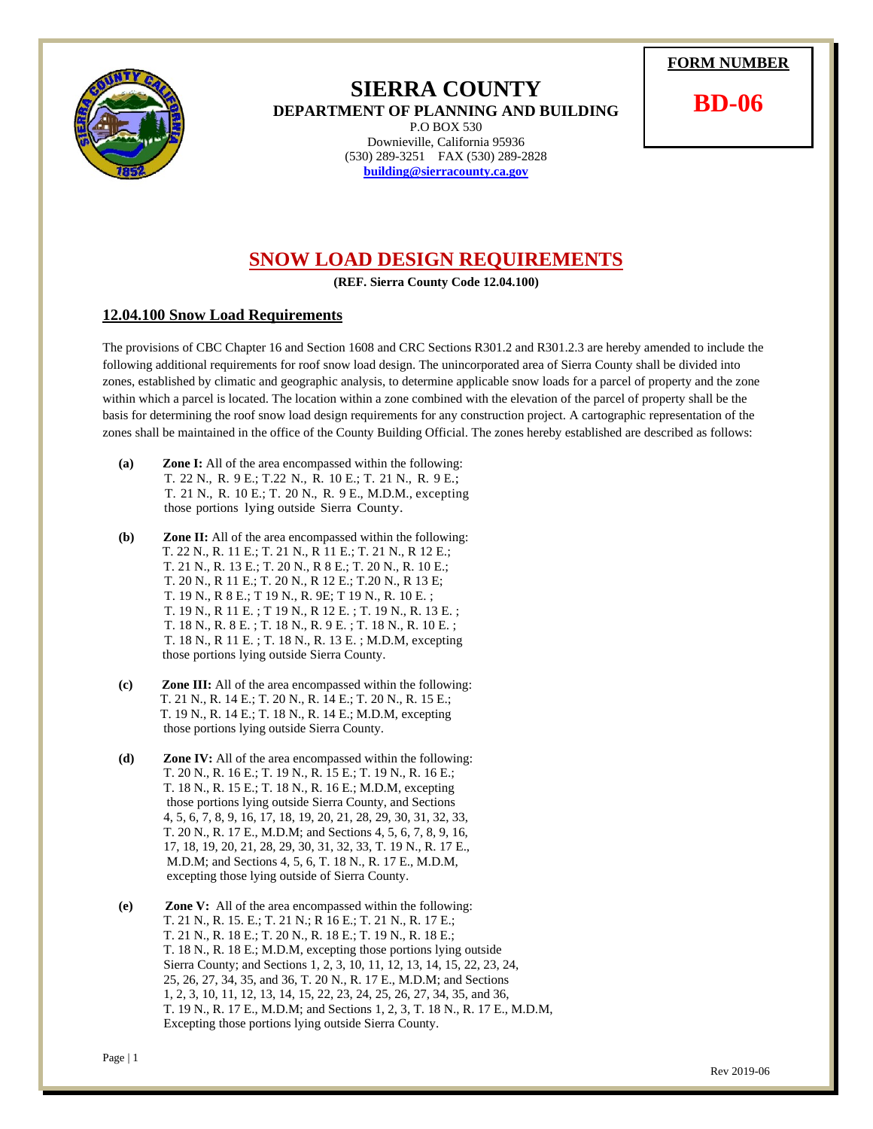Page | 1

## **SIERRA COUNTY**

**DEPARTMENT OF PLANNING AND BUILDING**  P.O BOX 530 Downieville, California 95936 (530) 289-3251 FAX (530) 289-2828 **building@sierracounty.ca.gov**



**BD-06** 

## **SNOW LOAD DESIGN REQUIREMENTS**

**(REF. Sierra County Code 12.04.100)** 

## **12.04.100 Snow Load Requirements**

The provisions of CBC Chapter 16 and Section 1608 and CRC Sections R301.2 and R301.2.3 are hereby amended to include the following additional requirements for roof snow load design. The unincorporated area of Sierra County shall be divided into zones, established by climatic and geographic analysis, to determine applicable snow loads for a parcel of property and the zone within which a parcel is located. The location within a zone combined with the elevation of the parcel of property shall be the basis for determining the roof snow load design requirements for any construction project. A cartographic representation of the zones shall be maintained in the office of the County Building Official. The zones hereby established are described as follows:

- **(a) Zone I:** All of the area encompassed within the following: T. 22 N., R. 9 E.; T.22 N., R. 10 E.; T. 21 N., R. 9 E.; T. 21 N., R. 10 E.; T. 20 N., R. 9 E., M.D.M., excepting those portions lying outside Sierra County.
- **(b) Zone II:** All of the area encompassed within the following: T. 22 N., R. 11 E.; T. 21 N., R 11 E.; T. 21 N., R 12 E.; T. 21 N., R. 13 E.; T. 20 N., R 8 E.; T. 20 N., R. 10 E.; T. 20 N., R 11 E.; T. 20 N., R 12 E.; T.20 N., R 13 E; T. 19 N., R 8 E.; T 19 N., R. 9E; T 19 N., R. 10 E. ; T. 19 N., R 11 E. ; T 19 N., R 12 E. ; T. 19 N., R. 13 E. ; T. 18 N., R. 8 E. ; T. 18 N., R. 9 E. ; T. 18 N., R. 10 E. ; T. 18 N., R 11 E. ; T. 18 N., R. 13 E. ; M.D.M, excepting those portions lying outside Sierra County.
- **(c) Zone III:** All of the area encompassed within the following: T. 21 N., R. 14 E.; T. 20 N., R. 14 E.; T. 20 N., R. 15 E.; T. 19 N., R. 14 E.; T. 18 N., R. 14 E.; M.D.M, excepting those portions lying outside Sierra County.
- **(d) Zone IV:** All of the area encompassed within the following: T. 20 N., R. 16 E.; T. 19 N., R. 15 E.; T. 19 N., R. 16 E.; T. 18 N., R. 15 E.; T. 18 N., R. 16 E.; M.D.M, excepting those portions lying outside Sierra County, and Sections 4, 5, 6, 7, 8, 9, 16, 17, 18, 19, 20, 21, 28, 29, 30, 31, 32, 33, T. 20 N., R. 17 E., M.D.M; and Sections 4, 5, 6, 7, 8, 9, 16, 17, 18, 19, 20, 21, 28, 29, 30, 31, 32, 33, T. 19 N., R. 17 E., M.D.M; and Sections 4, 5, 6, T. 18 N., R. 17 E., M.D.M, excepting those lying outside of Sierra County.
- **(e) Zone V:** All of the area encompassed within the following: T. 21 N., R. 15. E.; T. 21 N.; R 16 E.; T. 21 N., R. 17 E.; T. 21 N., R. 18 E.; T. 20 N., R. 18 E.; T. 19 N., R. 18 E.; T. 18 N., R. 18 E.; M.D.M, excepting those portions lying outside Sierra County; and Sections 1, 2, 3, 10, 11, 12, 13, 14, 15, 22, 23, 24, 25, 26, 27, 34, 35, and 36, T. 20 N., R. 17 E., M.D.M; and Sections 1, 2, 3, 10, 11, 12, 13, 14, 15, 22, 23, 24, 25, 26, 27, 34, 35, and 36, T. 19 N., R. 17 E., M.D.M; and Sections 1, 2, 3, T. 18 N., R. 17 E., M.D.M, Excepting those portions lying outside Sierra County.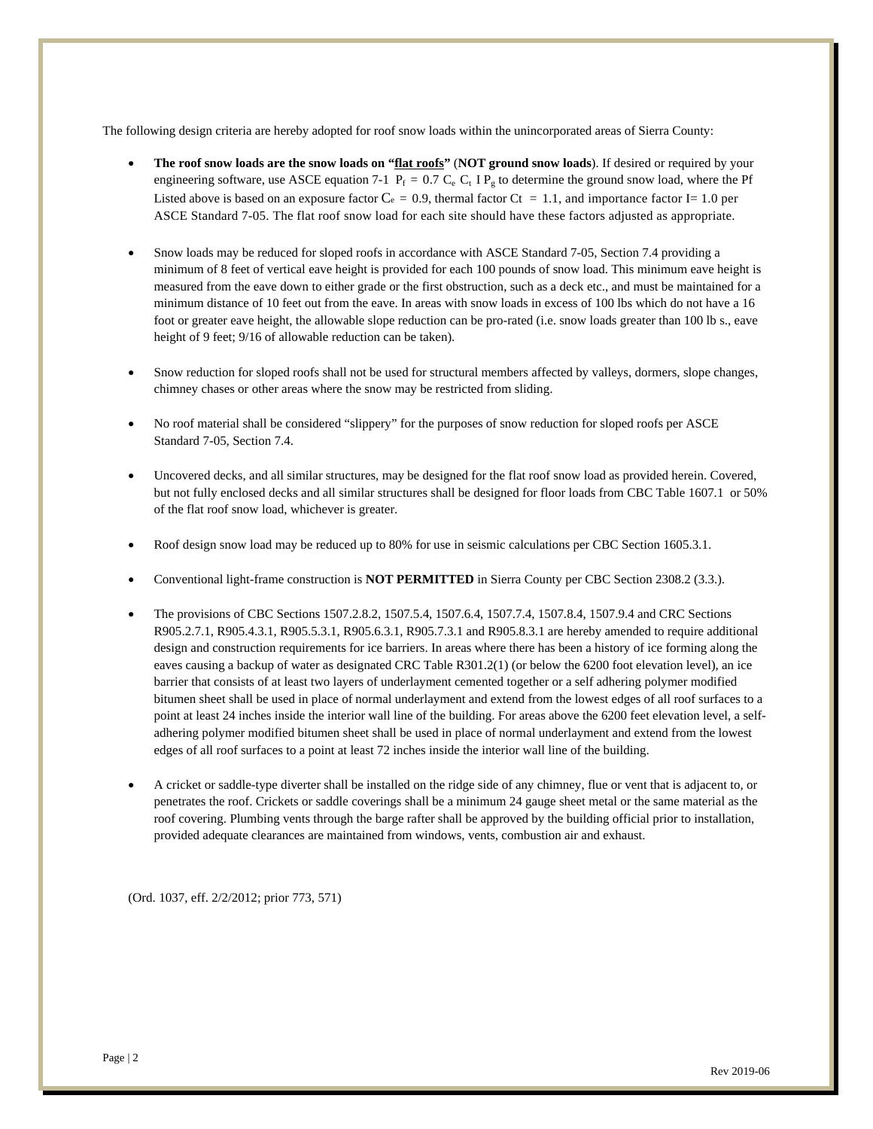The following design criteria are hereby adopted for roof snow loads within the unincorporated areas of Sierra County:

- **The roof snow loads are the snow loads on "flat roofs"** (**NOT ground snow loads**). If desired or required by your engineering software, use ASCE equation 7-1  $P_f = 0.7 C_e C_t I P_g$  to determine the ground snow load, where the Pf Listed above is based on an exposure factor  $C_e = 0.9$ , thermal factor  $C_t = 1.1$ , and importance factor I= 1.0 per ASCE Standard 7-05. The flat roof snow load for each site should have these factors adjusted as appropriate.
- Snow loads may be reduced for sloped roofs in accordance with ASCE Standard 7-05, Section 7.4 providing a minimum of 8 feet of vertical eave height is provided for each 100 pounds of snow load. This minimum eave height is measured from the eave down to either grade or the first obstruction, such as a deck etc., and must be maintained for a minimum distance of 10 feet out from the eave. In areas with snow loads in excess of 100 lbs which do not have a 16 foot or greater eave height, the allowable slope reduction can be pro-rated (i.e. snow loads greater than 100 lb s., eave height of 9 feet; 9/16 of allowable reduction can be taken).
- Snow reduction for sloped roofs shall not be used for structural members affected by valleys, dormers, slope changes, chimney chases or other areas where the snow may be restricted from sliding.
- No roof material shall be considered "slippery" for the purposes of snow reduction for sloped roofs per ASCE Standard 7-05, Section 7.4.
- Uncovered decks, and all similar structures, may be designed for the flat roof snow load as provided herein. Covered, but not fully enclosed decks and all similar structures shall be designed for floor loads from CBC Table 1607.1 or 50% of the flat roof snow load, whichever is greater.
- Roof design snow load may be reduced up to 80% for use in seismic calculations per CBC Section 1605.3.1.
- Conventional light-frame construction is **NOT PERMITTED** in Sierra County per CBC Section 2308.2 (3.3.).
- The provisions of CBC Sections 1507.2.8.2, 1507.5.4, 1507.6.4, 1507.7.4, 1507.8.4, 1507.9.4 and CRC Sections R905.2.7.1, R905.4.3.1, R905.5.3.1, R905.6.3.1, R905.7.3.1 and R905.8.3.1 are hereby amended to require additional design and construction requirements for ice barriers. In areas where there has been a history of ice forming along the eaves causing a backup of water as designated CRC Table R301.2(1) (or below the 6200 foot elevation level), an ice barrier that consists of at least two layers of underlayment cemented together or a self adhering polymer modified bitumen sheet shall be used in place of normal underlayment and extend from the lowest edges of all roof surfaces to a point at least 24 inches inside the interior wall line of the building. For areas above the 6200 feet elevation level, a selfadhering polymer modified bitumen sheet shall be used in place of normal underlayment and extend from the lowest edges of all roof surfaces to a point at least 72 inches inside the interior wall line of the building.
- A cricket or saddle-type diverter shall be installed on the ridge side of any chimney, flue or vent that is adjacent to, or penetrates the roof. Crickets or saddle coverings shall be a minimum 24 gauge sheet metal or the same material as the roof covering. Plumbing vents through the barge rafter shall be approved by the building official prior to installation, provided adequate clearances are maintained from windows, vents, combustion air and exhaust.

(Ord. 1037, eff. 2/2/2012; prior 773, 571)